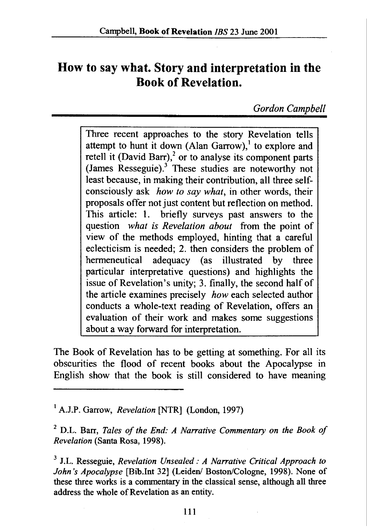## **How to say what. Story and interpretation in the Book of Revelation.**

*Gordon Campbel/* 

Three recent approaches to the *story* Revelation tells attempt to hunt it down (Alan Garrow),<sup>1</sup> to explore and retell it (David Barr), $^2$  or to analyse its component parts (James Resseguie).<sup>3</sup> These studies are noteworthy not least because, in making their contribution, all three selfconsciously ask *how to say what,* in other words, their proposals offer not just content but reflection on method. This article: 1. briefly surveys past answers to the question *what is Revelation about* from the point of view of the methods employed, hinting that a careful eclecticism is needed; 2. then considers the problem of hermeneutical adequacy (as illustrated by three particular interpretative questions) and highlights the issue of Revelation's unity; 3. finally, the second half of the article examines precisely *how* each selected author conducts a whole-text reading of Revelation, offers an evaluation of their work and makes some suggestions about a way forward for interpretation.

The Book of Revelation has to be getting at something. For all its obscurities the flood of recent books about the Apocalypse in English show that the book is still considered to have meaning

<sup>1</sup> A.J.P. Garrow, *Revelation* [NTR] (London, 1997)

2 D.L. Barr, *Tales of the End: A Narrative Commentary on the Book of Revelation* (Santa Rosa, 1998).

3 J.L. Resseguie, *Revelation Unsealed: A Narrative Critical Approach to John's Apocalypse* [Bib.lnt 32] (Leiden/ Boston/Cologne, 1998). None of these three works is a conunentary in the classical sense, although all three address the whole of Revelation as an entity.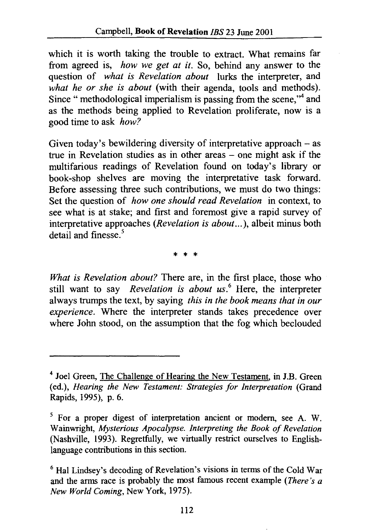which it is worth taking the trouble to extract. What remains far from agreed is, *how we get at it.* So, behind any answer to the question of *what is Revelation about* lurks the interpreter, and *what he or she is about* (with their agenda, tools and methods). Since " methodological imperialism is passing from the scene,"<sup>4</sup> and as the methods being applied to Revelation proliferate, now is a good time to ask *how?* 

Given today's bewildering diversity of interpretative approach  $-$  as true in Revelation studies as in other areas – one might ask if the multifarious readings of Revelation found on today's library or book-shop shelves are moving the interpretative task forward. Before assessing three such contributions, we must do two things: Set the question of *how one should read Revelation* in context, to see what is at stake; and first and foremost give a rapid survey of interpretative approaches *(Revelation is about ... ),* albeit minus both  $\det$ <sub>ail</sub> and finesse.<sup>5</sup>

\* \* \*

*What is Revelation about?* There are, in the first place, those who still want to say *Revelation is about us.* 6 Here, the interpreter always trumps the text, by saying *this in the book means that in our experience.* Where the interpreter stands takes precedence over where John stood, on the assumption that the fog which beclouded

<sup>4</sup> Joel Green, The Challenge of Hearing the New Testament, in J.B. Green (ed.), *Hearing the New Testament: Strategies for Interpretation* (Grand Rapids, 1995), p. 6.

 $<sup>5</sup>$  For a proper digest of interpretation ancient or modern, see A. W.</sup> Wainwright, *Mysterious Apocalypse. Interpreting the Book of Revelation*  (Nashville, 1993). Regretfully, we virtually restrict ourselves to Englishlanguage contributions in this section.

 $<sup>6</sup>$  Hal Lindsey's decoding of Revelation's visions in terms of the Cold War</sup> and the arms race is probably the most famous recent example *(There's a New World Coming,* New York, 1975).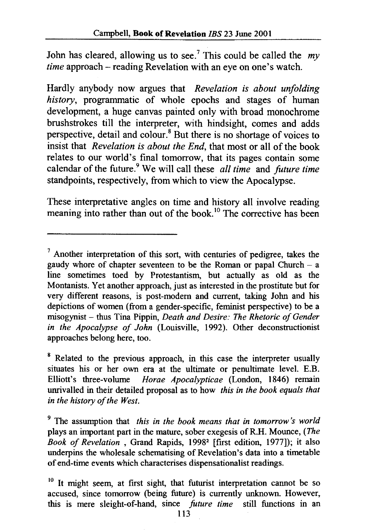John has cleared, allowing us to see.<sup>7</sup> This could be called the  $mv$ *time* approach – reading Revelation with an eye on one's watch.

Hardly anybody now argues that *Revelation is about wifolding history,* programmatic of whole epochs and stages of human development, a huge canvas painted only with broad monochrome brushstrokes till the interpreter, with hindsight, comes and adds perspective, detail and colour. 8 But there is no shortage of voices to insist that *Revelation is about the End,* that most or all of the book relates to our world's final tomorrow, that its pages contain some calendar of the future.<sup>9</sup> We will call these *all time* and *future time* standpoints, respectively, from which to view the Apocalypse.

These interpretative angles on time and history all involve reading meaning into rather than out of the book.<sup>10</sup> The corrective has been

 $<sup>7</sup>$  Another interpretation of this sort, with centuries of pedigree, takes the</sup> gaudy whore of chapter seventeen to be the Roman or papal Church - a line sometimes toed by Protestantism, but actually as old as the Montanists. Yet another approach, just as interested in the prostitute but for very different reasons, is post-modem and current, taking John and his depictions of women (from a gender -specific, feminist perspective) to be a misogynist - thus Tina Pippin, *Death and Desire: The Rhetoric of Gender in the Apocalypse of John* (Louisville, 1992). Other deconstructionist approaches belong here, too.

<sup>&</sup>lt;sup>8</sup> Related to the previous approach, in this case the interpreter usually situates his or her own era at the ultimate or penultimate level. E.B. Elliott's three-volume *Horae Apocalypticae* (London, 1846) remain unrivalled in their detailed proposal as to how *this in the book equals that in the history of the West.* 

<sup>9</sup> The assumption that *this in the book means that in tomorrow's world*  plays an important part in the mature, sober exegesis ofR.H. Mounce, *(The Book of Revelation* , Grand Rapids, 19982 [first edition, 1977]); it also underpins the wholesale schematising of Revelation's data into a timetable of end-time events which characterises dispensationalist readings.

 $10$  It might seem, at first sight, that futurist interpretation cannot be so accused, since tomorrow (being future) is currently unknown. However, this is mere sleight-of-hand, since *future time* still functions in an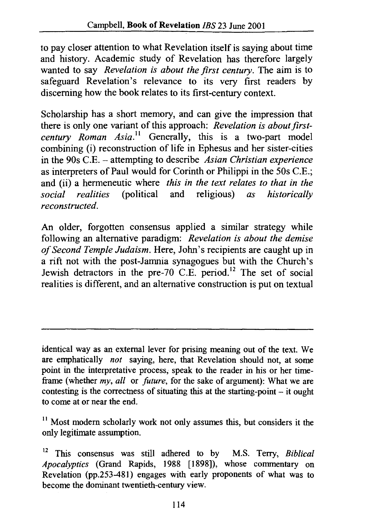to pay closer attention to what Revelation itself is saying about time and history. Academic study of Revelation has therefore largely wanted to say *Revelation is about the first century.* The aim is to safeguard Revelation's relevance to its very first readers by discerning how the book relates to its first-century context.

Scholarship has a short memory, and can give the impression that there is only one variant of this approach: *Revelation is about firstcentury Roman Asia.<sup>11</sup>* Generally, this is a two-part model combining (i) reconstruction of life in Ephesus and her sister-cities in the 90s C.E. - attempting to describe *Asian Christian experience*  as interpreters of Paul would for Corinth or Philippi in the 50s C.E.; and (ii) a hermeneutic where *this in the text relates to that in the social realities* (political and religious) *as historically social realities* (political and religious) *as historically reconstructed.* 

An older, forgotten consensus applied a similar strategy while following an alternative paradigm: *Revelation is about the demise of Second Temple Judaism.* Here, John's recipients are caught up in a rift not with the post-Jamnia synagogues but with the Church's Jewish detractors in the pre-70 C.E. period.<sup>12</sup> The set of social realities is different, and an alternative construction is put on textual

identical way as an external lever for prising meaning out of the text. We are emphatically *not* saying, here, that Revelation should not, at some point in the interpretative process, speak to the reader in his or her timeframe (whether *my, all* or *future,* for the sake of argument): What we are contesting is the correctness of situating this at the starting-point - it ought to come at or near the end.

<sup>11</sup> Most modern scholarly work not only assumes this, but considers it the only legitimate assumption.

12 This consensus was still adhered to by M.S. Terry, *Biblical Apocalyptics* (Grand Rapids, 1988 [ 1898]), whose commentary on Revelation (pp.253-481) engages with early proponents of what was to become the dominant twentieth-century view.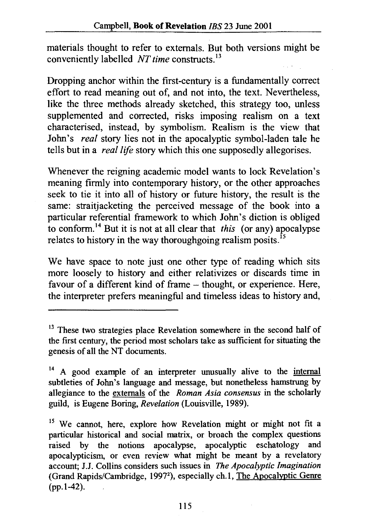materials thought to refer to externals. But both versions might be conveniently labelled *NT time* constructs. <sup>13</sup>

Dropping anchor within the first-century is a fundamentally correct effort to read meaning out of, and not into, the text. Nevertheless, like the three methods already sketched, this strategy too, unless supplemented and corrected, risks imposing realism on a text characterised, instead, by symbolism. Realism is the view that John's *real* story lies not in the apocalyptic symbol-laden tale he tells but in a *rea/life* story which this one supposedly allegorises.

Whenever the reigning academic model wants to lock Revelation's meaning firmly into contemporary history, or the other approaches seek to tie it into all of history or future history, the result is the same: straitjacketing the perceived message of the book into a particular referential framework to which John's diction is obliged to conform.<sup>14</sup> But it is not at all clear that *this* (or any) apocalypse relates to history in the way thoroughgoing realism posits.<sup>15</sup>

We have space to note just one other type of reading which sits more loosely to history and either relativizes or discards time in favour of a different kind of frame - thought, or experience. Here, the interpreter prefers meaningful and timeless ideas to history and,

<sup>&</sup>lt;sup>13</sup> These two strategies place Revelation somewhere in the second half of the first century, the period most scholars take as sufficient for situating the genesis of all the NT documents.

<sup>&</sup>lt;sup>14</sup> A good example of an interpreter unusually alive to the internal subtleties of John's language and message, but nonetheless hamstrung by allegiance to the externals of the *Roman Asia consensus* in the scholarly guild, is Eugene Boring, *Revelation* (Louisville, 1989).

<sup>&</sup>lt;sup>15</sup> We cannot, here, explore how Revelation might or might not fit a particular historical and social matrix, or broach the complex questions raised by the notions apocalypse, apocalyptic eschatology and apocalypticism, or even review what might be meant by a revelatory account; J.J. Collins considers such issues in *The Apocalyptic Imagination*  (Grand Rapids/Cambridge, 19972 ), especially ch.l, The Apocalyptic Genre (pp.l-42).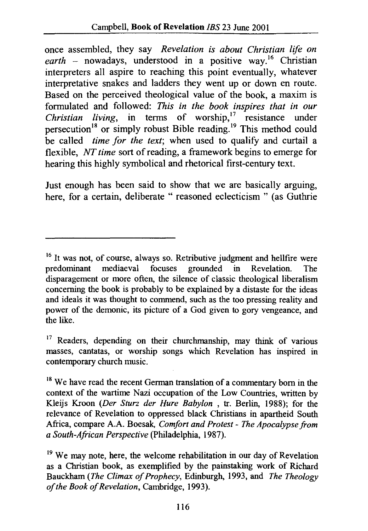once assembled, they say *Revelation is about Christian life on*  earth - nowadays, understood in a positive way.<sup>16</sup> Christian interpreters all aspire to reaching this point eventually, whatever interpretative snakes and ladders they went up or down en route. Based on the perceived theological value of the book, a maxim is formulated and followed: *This in the book inspires that in our Christian living*, in terms of worship,<sup>17</sup> resistance under persecution<sup>18</sup> or simply robust Bible reading.<sup>19</sup> This method could be called *time for the text*; when used to qualify and curtail a flexible, *NT time* sort of reading, a framework begins to emerge for hearing this highly symbolical and rhetorical first-century text.

Just enough has been said to show that we are basically arguing, here, for a certain, deliberate " reasoned eclecticism " (as Guthrie

<sup>&</sup>lt;sup>16</sup> It was not, of course, always so. Retributive judgment and hellfire were predominant mediaeval focuses grounded in Revelation. The disparagement or more often, the silence of classic theological liberalism concerning the book is probably to be explained by a distaste for the ideas and ideals it was thought to commend, such as the too pressing reality and power of the demonic, its picture of a God given to gory vengeance, and the like.

<sup>&</sup>lt;sup>17</sup> Readers, depending on their churchmanship, may think of various masses, cantatas, or worship songs which Revelation has inspired in contemporary church music.

<sup>&</sup>lt;sup>18</sup> We have read the recent German translation of a commentary born in the context of the wartime Nazi occupation of the Low Countries, written by Kleijs Kroon *(Der Sturz der Hure Baby/on* , tr. Berlin, 1988); for the relevance of Revelation to oppressed black Christians in apartheid South Africa, compare A.A. Boesak, *Comfort and Protest* - *The Apocalypse from a South-African Perspective* (Philadelphia, 1987).

<sup>&</sup>lt;sup>19</sup> We may note, here, the welcome rehabilitation in our day of Revelation as a Christian book, as exemplified by the painstaking work of Richard Bauckham *(The Climax of Prophecy,* Edinburgh, 1993, and *The Theology of the Book of Revelation,* Cambridge, 1993 ).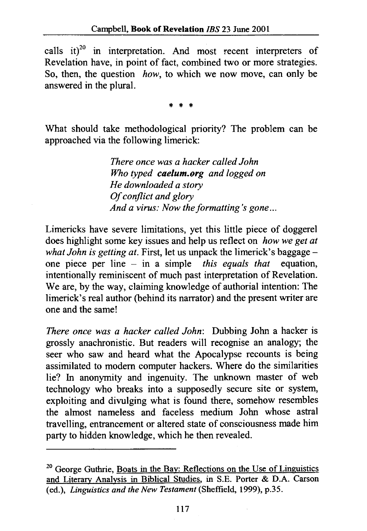calls it) $^{20}$  in interpretation. And most recent interpreters of Revelation have, in point of fact, combined two or more strategies. So, then, the question *how,* to which we now move, can only be answered in the plural.

\* \* \*

What should take methodological priority? The problem can be approached via the following limerick:

> *There once was a hacker called John Who typed caelum.org and logged on He downloaded a story Of conflict and glory And a virus: Now the formatting's gone ...*

Limericks have severe limitations, yet this little piece of doggerel does highlight some key issues and help us reflect on *how we get at what John is getting at.* First, let us unpack the limerick's baggageone piece per line - in a simple *this equals that* equation, intentionally reminiscent of much past interpretation of Revelation. We are, by the way, claiming knowledge of authorial intention: The limerick's real author (behind its narrator) and the present writer are one and the same!

*There once was a hacker called John:* Dubbing John a hacker is grossly anachronistic. But readers will recognise an analogy; the seer who saw and heard what the Apocalypse recounts is being assimilated to modem computer hackers. Where do the similarities lie? In anonymity and ingenuity. The unknown master of web technology who breaks into a supposedly secure site or system, exploiting and divulging what is found there, somehow resembles the almost nameless and faceless medium John whose astral travelling, entrancement or altered state of consciousness made him party to hidden knowledge, which he then revealed.

<sup>&</sup>lt;sup>20</sup> George Guthrie, Boats in the Bay: Reflections on the Use of Linguistics and Literary Analysis in Biblical Studies, in S.E. Porter & D.A. Carson (ed.), *Linguistics and the New Testament* (Sheffield, 1999), p.35.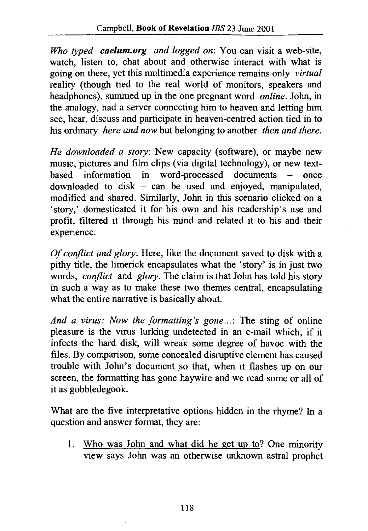*Who typed caelum.org and logged on:* You can visit a web-site, watch. listen to, chat about and otherwise interact with what is going on there, yet this multimedia experience remains only *virtual*  reality (though tied to the real world of monitors, speakers and headphones), summed up in the one pregnant word *online.* John, in the analogy, had a server connecting him to heaven and letting him see, hear, discuss and participate in heaven-centred action tied in to his ordinary *here and now* but belonging to another *then and there.* 

*He downloaded a story:* New capacity (software), or maybe new music, pictures and film clips (via digital technology), or new text-<br>based information in word-processed documents – once  $information$  information in word-processed documents – once downloaded to disk – can be used and enjoyed, manipulated, modified and shared. Similarly, John in this scenario clicked on a 'story,' domesticated it for his own and his readership's use and profit, filtered it through his mind and related it to his and their experience.

*Of conflict and glory:* Here, like the document saved to disk with a pithy title, the limerick encapsulates what the 'story' is in just two words, *conflict* and *glory.* The claim is that John has told his story in such a way as to make these two themes central, encapsulating what the entire narrative is basically about.

*And a virus: Now the formatting's gone ... :* The sting of online pleasure is the virus lurking undetected in an e-mail which, if it infects the hard disk, will wreak some degree of havoc with the files. By comparison, some concealed disruptive element has caused trouble with John's document so that, when it flashes up on our screen, the formatting has gone haywire and we read some or all of it as gobbledegook.

What are the five interpretative options hidden in the rhyme? In a question and answer format, they are:

1. Who was John and what did he get up to? One minority view says John was an otherwise unknown astral prophet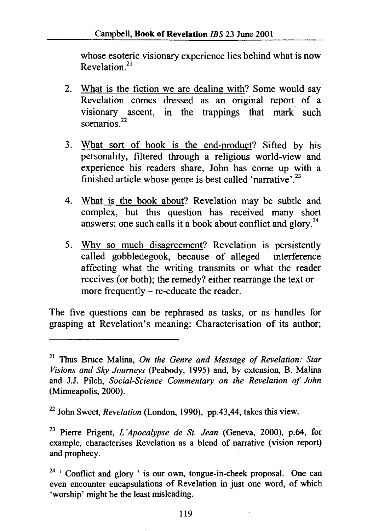whose esoteric visionary experience lies behind what is now Revelation. 21

- 2. What is the fiction we are dealing with? Some would say Revelation comes dressed as an original report of a visionary ascent, in the trappings that mark such scenarios  $^{22}$
- 3. What sort of book is the end-product? Sifted by his personality, filtered through a religious world-view and experience his readers share, John has come up with a finished article whose genre is best called 'narrative'.<sup>23</sup>
- 4. What is the book about? Revelation may be subtle and complex, but this question has received many short answers; one such calls it a book about conflict and glory.<sup>24</sup>
- 5. Why so much disagreement? Revelation is persistently called gobbledegook, because of alleged interference affecting what the writing transmits or what the reader receives (or both); the remedy? either rearrange the text ormore frequently  $-$  re-educate the reader.

The five questions can be rephrased as tasks, or as handles for grasping at Revelation's meaning: Characterisation of its author;

<sup>21</sup> Thus Bruce Malina, *On the Genre and Message of Revelation: Star Visions and Sky Journeys* (Peabody, 1995) and, by extension, B. Malina and J.J. Pilch, *Social-Science Commentary on the Revelation of John*  (Minneapolis, 2000).

<sup>22</sup> John Sweet, *Revelation* (London, 1990), pp.43,44, takes this view.

<sup>23</sup> Pierre Prigent, *L 'Apocalypse de St. Jean* (Geneva, 2000), p.64, for example, characterises Revelation as a blend of narrative (vision report) and prophecy.

 $24$  ' Conflict and glory ' is our own, tongue-in-cheek proposal. One can even encounter encapsulations of Revelation in just one word, of which 'worship' might be the least misleading.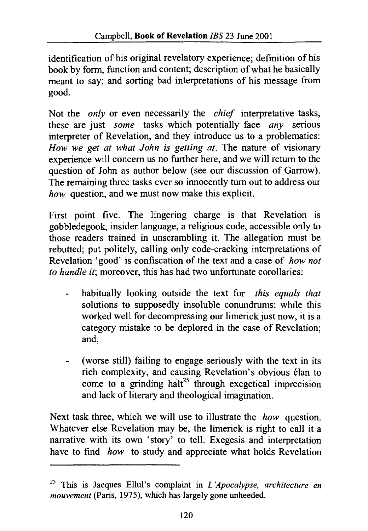identification of his original revelatory experience; definition of his book by form, function and content; description of what he basically meant to say; and sorting bad interpretations of his message from good.

Not the *only* or even necessarily the *chief* interpretative tasks, these are just *some* tasks which potentially face *any* serious interpreter of Revelation, and they introduce us to a problematics: *How we get at what John is getting at.* The nature of visionary experience will concern us no further here, and we will return to the question of John as author below (see our discussion of Garrow). The remaining three tasks ever so innocently turn out to address our *how* question, and we must now make this explicit.

First point five. The lingering charge is that Revelation is gobbledegook, insider language, a religious code, accessible only to those readers trained in unscrambling it. The allegation must be rebutted; put politely, calling only code-cracking interpretations of Revelation 'good' is confiscation of the text and a case of *how not to handle it;* moreover, this has had two unfortunate corollaries:

- habitually looking outside the text for *this equals that*  solutions to supposedly insoluble conundrums: while this worked well for decompressing our limerick just now, it is a category mistake to be deplored in the case of Revelation; and,
- (worse still) failing to engage seriously with the text in its rich complexity, and causing Revelation's obvious elan to come to a grinding halt<sup>25</sup> through exegetical imprecision and lack of literary and theological imagination.

Next task three, which we will use to illustrate the *how* question. Whatever else Revelation may be, the limerick is right to call it a narrative with its own 'story' to tell. Exegesis and interpretation have to find *how* to study and appreciate what holds Revelation

<sup>25</sup> This is Jacques Ellul's complaint in *L 'Apocalypse, architecture en mouvement* (Paris, 1975), which has largely gone unheeded.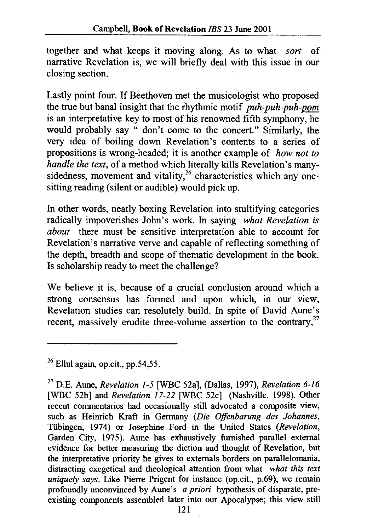together and what keeps it moving along. As to what *sort* of narrative Revelation is, we will briefly deal with this issue in our closing section.

Lastly point four. If Beethoven met the musicologist who proposed the true but banal insight that the rhythmic motif *puh-puh-puh-pom*  is an interpretative key to most of his renowned fifth symphony, he would probably say " don't come to the concert." Similarly, the very idea of boiling down Revelation's contents to a series of propositions is wrong-headed; it is another example of *how not to handle the text,* of a method which literally kills Revelation's manysidedness, movement and vitality.<sup>26</sup> characteristics which any onesitting reading (silent or audible) would pick up.

In other words, neatly boxing Revelation into stultifying categories radically impoverishes John's work. In saying *what Revelation is about* there must be sensitive interpretation able to account for Revelation's narrative verve and capable of reflecting something of the depth, breadth and scope of thematic development in the book. Is scholarship ready to meet the challenge?

We believe it is, because of a crucial conclusion around which a strong consensus has formed and upon which, in our view, Revelation studies can resolutely build. In spite of David Aune's recent, massively erudite three-volume assertion to the contrary.<sup>27</sup>

 $26$  Ellul again, op.cit., pp.54,55.

<sup>27</sup>D.E. Aune, *Revelation 1-5* [WBC 52a], (Dallas, 1997), *Revelation 6-16*  [WBC 52b] and *Revelation 17-22* [WBC 52c] (Nashville, 1998). Other recent commentaries had occasionally still advocated a composite view, such as Heinrich Kraft in Germany *(Die Offenbarung des Johannes,*  Tiibingen, 1974) or Josephine Ford in the United States *(Revelation,*  Garden City, 1975). Aune has exhaustively furnished parallel external evidence for better measuring the diction and thought of Revelation, but the interpretative priority he gives to externals borders on parallelomania, distracting exegetical and theological attention from what *what this text uniquely says.* Like Pierre Prigent for instance (op.cit., p.69), we remain profoundly unconvinced by Aune's *a priori* hypothesis of disparate, preexisting components assembled later into our Apocalypse; this view still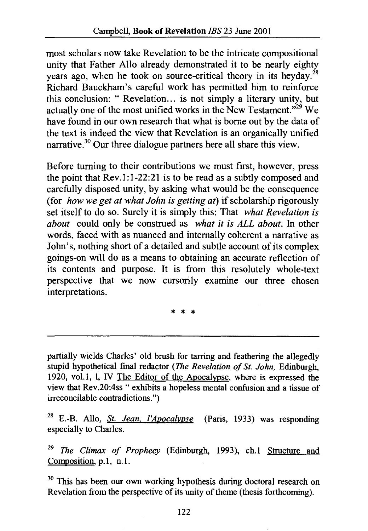most scholars now take Revelation to be the intricate compositional unity that Father Allo already demonstrated it to be nearly eighty years ago, when he took on source-critical theory in its heyday.<sup>28</sup> Richard Bauckham's careful work has permitted him to reinforce this conclusion: " Revelation... is not simply a literary unity, but actually one of the most unified works in the New Testament."<sup>29</sup> We have found in our own research that what is borne out by the data of the text is indeed the view that Revelation is an organically unified narrative.30 Our three dialogue partners here all share this view.

Before turning to their contributions we must first, however, press the point that Rev.1:1-22:21 is to be read as a subtly composed and carefully disposed unity, by asking what would be the consequence (for *how we get at what John is getting at)* if scholarship rigorously set itself to do so. Surely it is simply this: That *what Revelation is about* could only be construed as *what it is ALL about.* In other words, faced with as nuanced and internally coherent a narrative as John's, nothing short of a detailed and subtle account of its complex goings-on will do as a means to obtaining an accurate reflection of its contents and purpose. It is from this resolutely whole-text perspective that we now cursorily examine our three chosen interpretations.

\* \* \*

partially wields Charles' old brush for tarring and feathering the allegedly stupid hypothetical fmal redactor *(The Revelation of St. John,* Edinburgh, 1920, vol.1, 1, IV The Editor of the Apocalypse, where is expressed the view that Rev .20:4ss " exhibits a hopeless mental confusion and a tissue of irreconcilable contradictions.")

28 E.-B. Allo, *St. Jean. /'Apocalypse* (Paris, 1933) was responding especially to Charles.

<sup>29</sup>*The Climax of Prophecy* (Edinburgh, 1993), ch.1 Structure and Composition, p.1, n.1.

<sup>30</sup> This has been our own working hypothesis during doctoral research on Revelation from the perspective of its unity of theme (thesis forthcoming).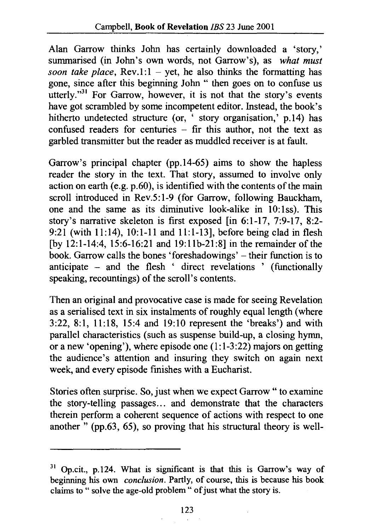Alan Garrow thinks John has certainly downloaded a 'story,' summarised (in John's own words, not Garrow's), as *what must soon take place,*  $Rev.1:1 - yet$ , he also thinks the formatting has gone, since after this beginning John " then goes on to confuse us utterly."<sup>31</sup> For Garrow, however, it is not that the story's events have got scrambled by some incompetent editor. Instead, the book's hitherto undetected structure (or, ' story organisation,' p.14) has confused readers for centuries - fir this author, not the text as garbled transmitter but the reader as muddled receiver is at fault.

Garrow's principal chapter (pp.14-65) aims to show the hapless reader the story in the text. That story, assumed to involve only action on earth (e.g.  $p.60$ ), is identified with the contents of the main scroll introduced in Rev.5:1-9 (for Garrow, following Bauckham, one and the same as its diminutive look-alike in 10:1ss). This story's narrative skeleton is first exposed [in 6:1-17, 7:9-17, 8:2- 9:21 (with 11:14), 10:1-11 and 11:1-13], before being clad in flesh [by 12:1-14:4, 15:6-16:21 and 19:llb-21:8] in the remainder of the book. Garrow calls the bones 'foreshadowings' – their function is to anticipate - and the flesh ' direct revelations ' (functionally speaking, recountings) of the scroll's contents.

Then an original and provocative case is made for seeing Revelation as a serialised text in six instalments of roughly equal length (where 3:22, 8:1, 11:18, 15:4 and 19:10 represent the 'breaks') and with parallel characteristics (such as suspense build-up, a closing hymn, or a new 'opening'), where episode one (1:1-3:22) majors on getting the audience's attention and insuring they switch on again next week, and every episode finishes with a Eucharist.

Stories often surprise. So, just when we expect Garrow " to examine the story-telling passages ... and demonstrate that the characters therein perform a coherent sequence of actions with respect to one another " (pp.63, 65), so proving that his structural theory is well-

 $31$  Op.cit., p.124. What is significant is that this is Garrow's way of beginning his own *conclusion.* Partly, of course, this is because his book claims to " solve the age-old problem" of just what the story is.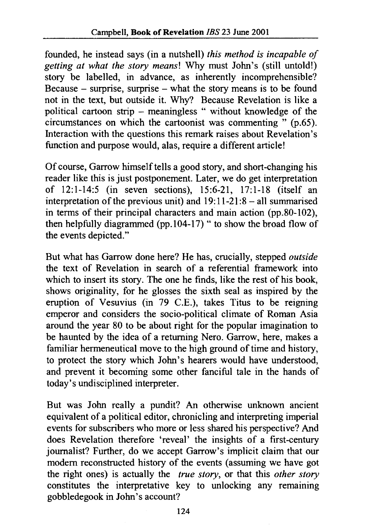founded, he instead says (in a nutshell) *this method is incapable of getting at what the story means!* Why must John's (still untold!) *story* be labelled, in advance, as inherently incomprehensible? Because - surprise, surprise - what the *story* means is to be found not in the text, but outside it. Why? Because Revelation is like a political cartoon strip - meaningless " without knowledge of the circumstances on which the cartoonist was commenting " (p.65). Interaction with the questions this remark raises about Revelation's function and purpose would, alas, require a different article!

Of course, Garrow himself tells a good *story,* and short-changing his reader like this is just postponement. Later, we do get interpretation of 12:1-14:5 (in seven sections), 15:6-21, 17:1-18 (itself an interpretation of the previous unit) and  $19:11-21:8-$  all summarised in terms of their principal characters and main action (pp.80-102), then helpfully diagrammed (pp.  $104-17$ ) " to show the broad flow of the events depicted."

But what has Garrow done here? He has, crucially, stepped *outside*  the text of Revelation in search of a referential framework into which to insert its *story*. The one he finds, like the rest of his book, shows originality, for he glosses the sixth seal as inspired by the eruption of Vesuvius (in 79 C.E.), takes Titus to be reigning emperor and considers the socio-political climate of Roman Asia around the year 80 to be about right for the popular imagination to be haunted by the idea of a returning Nero. Garrow, here, makes a familiar hermeneutical move to the high ground of time and history, to protect the *story* which John's hearers would have understood, and prevent it becoming some other fanciful tale in the hands of today's undisciplined interpreter.

But was John really a pundit? An otherwise unknown ancient equivalent of a political editor, chronicling and interpreting imperial events for subscribers who more or less shared his perspective? And does Revelation therefore 'reveal' the insights of a first-century journalist? Further, do we accept Garrow's implicit claim that our modem reconstructed history of the events (assuming we have got the right ones) is actually the *true story,* or that this *other story*  constitutes the interpretative key to unlocking any remaining gobbledegook in John's account?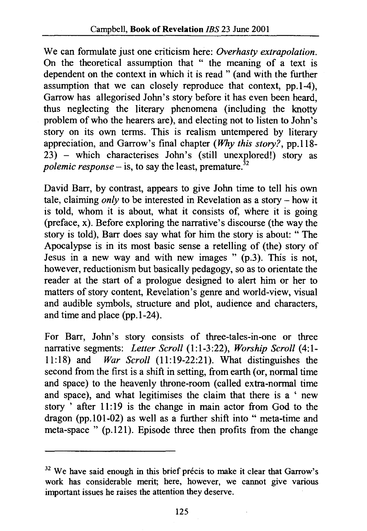We can formulate just one criticism here: *Overhasty extrapolation.*  On the theoretical assumption that " the meaning of a text is dependent on the context in which it is read " (and with the further assumption that we can closely reproduce that context, pp.1-4), Garrow has allegorised John's story before it has even been heard, thus neglecting the literary phenomena (including the knotty problem of who the hearers are), and electing not to listen to John's story on its own terms. This is realism untempered by literary appreciation, and Garrow's final chapter *(Why this story?,* pp.118- 23) - which characterises John's (still unexplored!) story as *polemic response* – is, to say the least, premature.<sup>32</sup>

David Barr, by contrast, appears to give John time to tell his own tale, claiming *only* to be interested in Revelation as a story – how it is told, whom it is about, what it consists of, where it is going (preface, x). Before exploring the narrative's discourse (the way the story is told), Barr does say what for him the story is about: " The Apocalypse is in its most basic sense a retelling of (the) story of Jesus in a new way and with new images " (p.3). This is not, however, reductionism but basically pedagogy, so as to orientate the reader at the start of a prologue designed to alert him or her to matters of story content, Revelation's genre and world-view, visual and audible symbols, structure and plot, audience and characters, and time and place (pp.1-24).

For Barr, John's story consists of three-tales-in-one or three narrative segments: *Letter Scroll* (1:1-3:22), *Worship Scroll* (4:1- 11:18) and *War Scroll* (11:19-22:21). What distinguishes the second from the first is a shift in setting, from earth (or, normal time and space) to the heavenly throne-room (called extra-normal time and space), and what legitimises the claim that there is a ' new story ' after 11:19 is the change in main actor from God to the dragon (pp.l01-02) as well as a further shift into "meta-time and meta-space " (p.121). Episode three then profits from the change

<sup>&</sup>lt;sup>32</sup> We have said enough in this brief précis to make it clear that Garrow's work has considerable merit; here, however, we cannot give various important issues he raises the attention they deserve.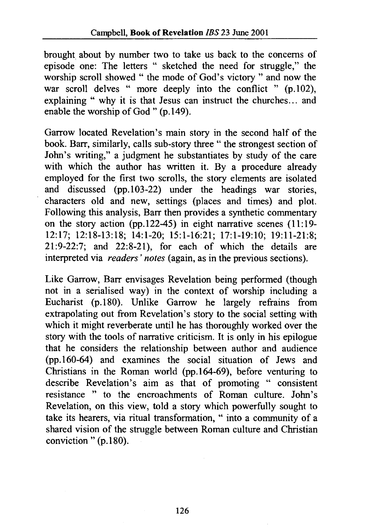brought about by number two to take us back to the concerns of episode one: The letters " sketched the need for struggle," the worship scroll showed " the mode of God's victory " and now the war scroll delves " more deeply into the conflict "  $(p.102)$ , explaining " why it is that Jesus can instruct the churches... and enable the worship of God" (p.149).

Garrow located Revelation's main story in the second half of the book. Barr, similarly, calls sub-story three " the strongest section of John's writing," a judgment he substantiates by study of the care with which the author has written it. By a procedure already employed for the first two scrolls, the story elements are isolated and discussed (pp.103-22) under the headings war stories, characters old and new, settings (places and times) and plot. Following this analysis, Barr then provides a synthetic commentary on the story action (pp.122-45) in eight narrative scenes (11:19- 12:17; 12:18-13:18; 14:1-20; 15:1-16:21; 17:1-19:10; 19:11-21:8; 21:9-22:7; and 22:8-21), for each of which the details are interpreted via *readers' notes* (again, as in the previous sections).

Like Garrow, Barr envisages Revelation being performed (though not in a serialised way) in the context of worship including a Eucharist (p.l80). Unlike Garrow he largely refrains from extrapolating out from Revelation's story to the social setting with which it might reverberate until he has thoroughly worked over the story with the tools of narrative criticism. It is only in his epilogue that he considers the relationship between author and audience (pp.160-64) and examines the social situation of Jews and Christians in the Roman world (pp.164-69), before venturing to describe Revelation's aim as that of promoting " consistent resistance " to the encroachments of Roman culture. John's Revelation, on this view, told a story which powerfully sought to take its hearers, via ritual transformation, " into a community of a shared vision of the struggle between Roman culture and Christian conviction " (p.180).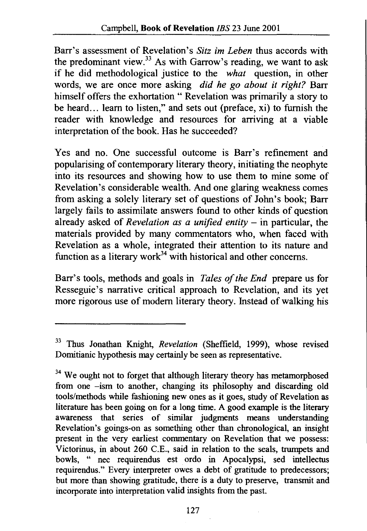Barr's assessment of Revelation's *Sitz im Leben* thus accords with the predominant view. $33$  As with Garrow's reading, we want to ask if he did methodological justice to the *what* question, in other words, we are once more asking *did he go about it right?* Barr himself offers the exhortation " Revelation was primarily a story to be heard ... learn to listen," and sets out (preface, xi) to furnish the reader with knowledge and resources for arriving at a viable interpretation of the book. Has he succeeded?

Yes and no. One successful outcome is Barr's refinement and popularising of contemporary literary theory, initiating the neophyte into its resources and showing how to use them to mine some of Revelation's considerable wealth. And one glaring weakness comes from asking a solely literary set of questions of John's book; Barr largely fails to assimilate answers found to other kinds of question already asked of *Revelation as a unified entity*  $-$  in particular, the materials provided by many commentators who, when faced with Revelation as a whole, integrated their attention to its nature and function as a literary work $34$  with historical and other concerns.

Barr's tools, methods and goals in *Tales of the End* prepare us for Resseguie's narrative critical approach to Revelation, and its yet more rigorous use of modem literary theory. Instead of walking his

<sup>33</sup> Thus Jonathan Knight, *Revelation* (Sheffield, 1999), whose revised Domitianic hypothesis may certainly be seen as representative.

 $34$  We ought not to forget that although literary theory has metamorphosed from one -ism to another, changing its philosophy and discarding old tools/methods while fashioning new ones as it goes, study of Revelation as literature has been going on for a long time. A good example is the literary awareness that series of similar judgments means understanding Revelation's goings-on as something other than chronological, an insight present in the very earliest commentary on Revelation that we possess: Victorinus, in about 260 C.E., said in relation to the seals, trumpets and bowls, " nee requirendus est ordo in Apocalypsi, sed intellectus requirendus." Every interpreter owes a debt of gratitude to predecessors; but more than showing gratitude, there is a duty to preserve, transmit and incorporate into interpretation valid insights from the past.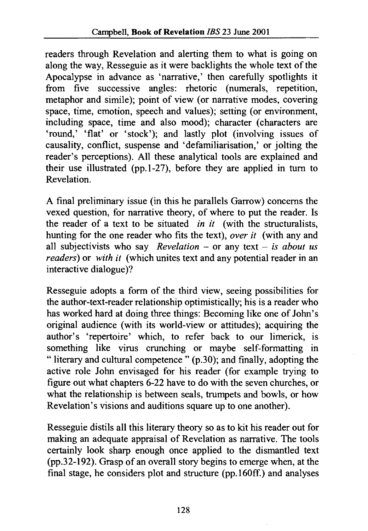readers through Revelation and alerting them to what is going on along the way, Resseguie as it were backlights the whole text of the Apocalypse in advance as 'narrative,' then carefully spotlights it from five successive angles: rhetoric (numerals, repetition, metaphor and simile); point of view (or narrative modes, covering space, time, emotion, speech and values); setting (or environment, including space, time and also mood); character (characters are 'round,' 'flat' or 'stock'); and lastly plot (involving issues of causality, conflict, suspense and 'defamiliarisation,' or jolting the reader's perceptions). All these analytical tools are explained and their use illustrated (pp.l-27), before they are applied in turn to Revelation.

A final preliminary issue (in this he parallels Garrow) concerns the vexed question, for narrative theory, of where to put the reader. Is the reader of a text to be situated *in it* (with the structuralists, hunting for the one reader who fits the text), *over it* (with any and all subjectivists who say *Revelation* – or any text – *is about us readers*) or *with it* (which unites text and any potential reader in an interactive dialogue)?

Resseguie adopts a form of the third view, seeing possibilities for the author-text-reader relationship optimistically; his is a reader who has worked hard at doing three things: Becoming like one of John's original audience (with its world-view or attitudes); acquiring the author's 'repertoire' which, to refer back to our limerick, is something like virus crunching or maybe self-formatting in " literary and cultural competence " (p.30); and finally, adopting the active role John envisaged for his reader (for example trying to figure out what chapters 6-22 have to do with the seven churches, or what the relationship is between seals, trumpets and bowls, or how Revelation's visions and auditions square up to one another).

Resseguie distils all this literary theory so as to kit his reader out for making an adequate appraisal of Revelation as narrative. The tools certainly look sharp enough once applied to the dismantled text (pp.32-192). Grasp of an overall story begins to emerge when, at the final stage, he considers plot and structure (pp.160ff.) and analyses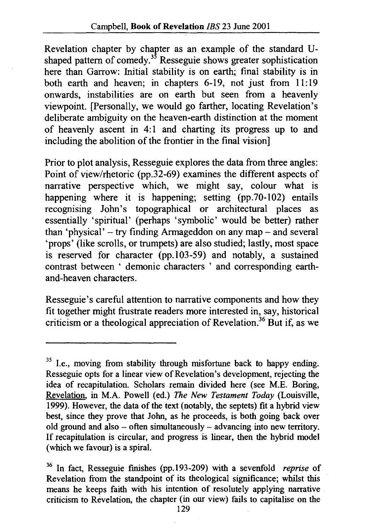Revelation chapter by chapter as an example of the standard Ushaped pattern of comedy.<sup>35</sup> Resseguie shows greater sophistication here than Garrow: Initial stability is on earth; final stability is in both earth and heaven; in chapters 6-19, not just from 11:19 onwards, instabilities are on earth but seen from a heavenly viewpoint. [Personally, we would go farther, locating Revelation's deliberate ambiguity on the heaven-earth distinction at the moment of heavenly ascent in 4:1 and charting its progress up to and including the abolition of the frontier in the final vision]

Prior to plot analysis, Resseguie explores the data from three angles: Point of view/rhetoric (pp.32-69) examines the different aspects of narrative perspective which, we might say, colour what is happening where it is happening; setting (pp.70-102) entails recognising John's topographical or architectural places as essentially 'spiritual' (perhaps 'symbolic' would be better) rather than 'physical'  $-$  try finding Armageddon on any map  $-$  and several 'props' (like scrolls, or trumpets) are also studied; lastly, most space is reserved for character (pp.l03-59) and notably, a sustained contrast between ' demonic characters ' and corresponding earthand-heaven characters.

Resseguie's careful attention to narrative components and how they fit together might frustrate readers more interested in, say, historical criticism or a theological appreciation of Revelation.<sup>36</sup> But if, as we

<sup>&</sup>lt;sup>35</sup> I.e., moving from stability through misfortune back to happy ending. Resseguie opts for a linear view of Revelation's development, rejecting the idea of recapitulation. Scholars remain divided here (see M.E. Boring, Revelation, in M.A. Powell (ed.) *The New Testament Today* (Louisville, 1999). However, the data of the text (notably, the septets) fit a hybrid view best, since they prove that John, as he proceeds, is both going back over old ground and also - often simultaneously - advancing into new territory. If recapitulation is circular, and progress is linear, then the hybrid model (which we favour) is a spiral.

<sup>36</sup> In fact, Resseguie finishes (pp.193-209) with a sevenfold *reprise* of Revelation from the standpoint of its theological significance; whilst this means he keeps faith with his intention of resolutely applying narrative criticism to Revelation, the chapter (in our view) fails to capitalise on the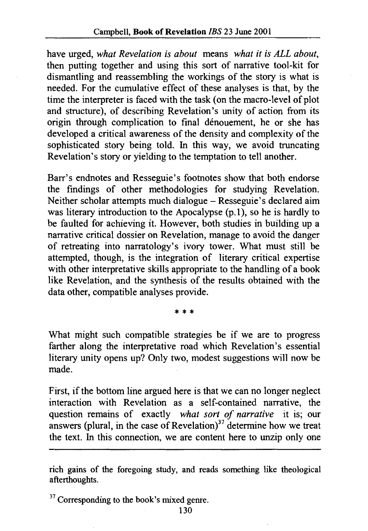have urged, *what Revelation* is *about* means *what it* is *ALL about,*  then putting together and using this sort of narrative tool-kit for dismantling and reassembling the workings of the story is what is needed. For the cumulative effect of these analyses is that, by the time the interpreter is faced with the task (on the macro-level of plot and structure), of describing Revelation's unity of action from its origin through complication to final denouement, he or she has developed a critical awareness of the density and complexity of the sophisticated story being told. In this way, we avoid truncating Revelation's story or yielding to the temptation to tell another.

Barr's endnotes and Resseguie's footnotes show that both endorse the findings of other methodologies for studying Revelation. Neither scholar attempts much dialogue- Resseguie's declared aim was literary introduction to the Apocalypse (p.1), so he is hardly to be faulted for achieving it. However, both studies in building up a narrative critical dossier on Revelation, manage to avoid the danger of retreating into narratology's ivory tower. What must still be attempted, though, is the integration of literary critical expertise with other interpretative skills appropriate to the handling of a book like Revelation, and the synthesis of the results obtained with the data other, compatible analyses provide.

\* \* \*

What might such compatible strategies be if we are to progress farther along the interpretative road which Revelation's essential literary unity opens up? Only two, modest suggestions will now be made.

First, if the bottom line argued here is that we can no longer neglect interaction with Revelation as a self-contained narrative, the question remains of exactly *what sort of narrative* it is; our answers (plural, in the case of Revelation) $37$  determine how we treat the text. In this connection, we are content here to unzip only one

 $37$  Corresponding to the book's mixed genre.

rich gains of the foregoing study, and reads something like theological afterthoughts.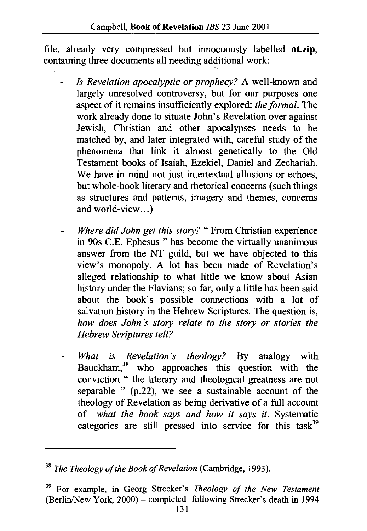file, already very compressed but innocuously labelled **ot.zip,**  containing three documents all needing additional work:

- *Is Revelation apocalyptic or prophecy?* A well-known and largely unresolved controversy, but for our purposes one aspect of it remains insufficiently explored: *the formal.* The work already done to situate John's Revelation over against Jewish, Christian and other apocalypses needs to be matched by, and later integrated with, careful study of the phenomena that link it almost genetically to the Old Testament books of Isaiah, Ezekiel, Daniel and Zechariah. We have in mind not just intertextual allusions or echoes, but whole-book literary and rhetorical concerns (such things as structures and patterns, imagery and themes, concerns and world-view...)
- *Where did John get this story?"* From Christian experience in 90s C.E. Ephesus " has become the virtually unanimous answer from the NT guild, but we have objected to this view's monopoly. A lot has been made of Revelation's alleged relationship to what little we know about Asian history under the Flavians; so far, only a little has been said about the book's possible connections with a lot of salvation history in the Hebrew Scriptures. The question is, *how does John 's story relate to the story or stories the Hebrew Scriptures tell?*
- *What is Revelation's theology?* By analogy with Bauckham,  $38$  who approaches this question with the conviction " the literary and theological greatness are not separable " (p.22), we see a sustainable account of the theology of Revelation as being derivative of a full account of *what the book says and how it says it.* Systematic categories are still pressed into service for this task<sup>39</sup>

<sup>38</sup>*The Theology of the Book of Revelation* (Cambridge, 1993).

<sup>39</sup> For example, in Georg Strecker's *Theology of the New Testament*   $(Berlin/New York, 2000)$  – completed following Strecker's death in 1994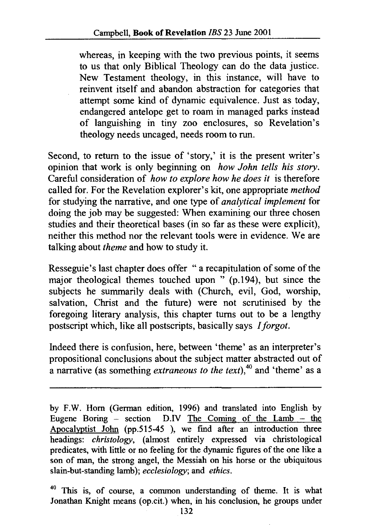whereas, in keeping with the two previous points, it seems to us that only Biblical Theology can do the data justice. New Testament theology, in this instance, will have to reinvent itself and abandon abstraction for categories that attempt some kind of dynamic equivalence. Just as today, endangered antelope get to roam in managed parks instead of languishing in tiny zoo enclosures, so Revelation's theology needs uncaged, needs room to run.

Second, to return to the issue of 'story,' it is the present writer's opinion that work is only beginning on *how John tells his story.*  Careful consideration of *how to explore how he does it* is therefore called for. For the Revelation explorer's kit, one appropriate *method*  for studying the narrative, and one type of *analytical implement* for doing the job may be suggested: When examining our three chosen studies and their theoretical bases (in so far as these were explicit), neither this method nor the relevant tools were in evidence. We are talking about *theme* and how to study it.

Resseguie's last chapter does offer "a recapitulation of some of the major theological themes touched upon " (p.194), but since the subjects he summarily deals with (Church, evil, God, worship, salvation, Christ and the future) were not scrutinised by the foregoing literary analysis, this chapter turns out to be a lengthy postscript which, like all postscripts, basically says *!forgot.* 

Indeed there is confusion, here, between 'theme' as an interpreter's propositional conclusions about the subject matter abstracted out of a narrative (as something *extraneous to the text),<sup>40</sup>*and 'theme' as a

<sup>40</sup> This is, of course, a common understanding of theme. It is what Jonathan Knight means (op.cit.) when, in his conclusion, he groups under

by F.W. Horn (German edition, 1996) and translated into English by Eugene Boring - section D.IV The Coming of the Lamb - the Apocalyptist John (pp.515-45), we find after an introduction three headings: *christology,* (almost entirely expressed via christological predicates, with little or no feeling for the dynamic figures of the one like a son of man, the strong angel, the Messiah on his horse or the ubiquitous slain-but-standing lamb); *ecclesiology;* and *ethics.*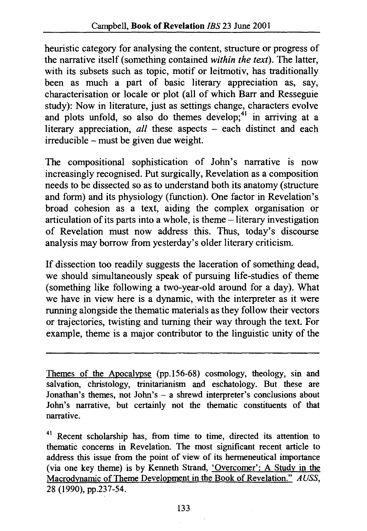heuristic category for analysing the content, structure or progress of the narrative itself (something contained *within the text).* The latter, with its subsets such as topic, motif or leitmotiv, has traditionally been as much a part of basic literary appreciation as, say, characterisation or locale or plot (all of which Barr and Resseguie study): Now in literature, just as settings change, characters evolve and plots unfold, so also do themes develop;<sup>41</sup> in arriving at a literary appreciation, *all* these aspects - each distinct and each irreducible -must be given due weight.

The compositional sophistication of John's narrative is now increasingly recognised. Put surgically, Revelation as a composition needs to be dissected so as to understand both its anatomy (structure and form) and its physiology (function). One factor in Revelation's broad cohesion as a text, aiding the complex organisation or articulation of its parts into a whole, is theme – literary investigation of Revelation must now address this. Thus, today's discourse analysis may borrow from yesterday's older literary criticism.

If dissection too readily suggests the laceration of something dead, we should simultaneously speak of pursuing life-studies of theme (something like following a two-year-old around for a day). What we have in view here is a dynamic, with the interpreter as it were running alongside the thematic materials as they follow their vectors or trajectories, twisting and turning their way through the text. For example, theme is a major contributor to the linguistic unity of the

Themes of the Apocalypse (pp.l56-68) cosmology, theology, sin and salvation, christology, trinitarianism and eschatology. But these are Jonathan's themes, not John's - a shrewd interpreter's conclusions about John's narrative, but certainly not the thematic constituents of that narrative.

<sup>41</sup> Recent scholarship has, from time to time, directed its attention to thematic concerns in Revelation. The most significant recent article to address this issue from the point of view of its hermeneutical importance (via one key theme) is by Kenneth Strand, 'Overcomer': A Study in the Macrodvnamic of Theme Development in the Book of Revelation." *A USS,*  28 (1990), pp.237-54.